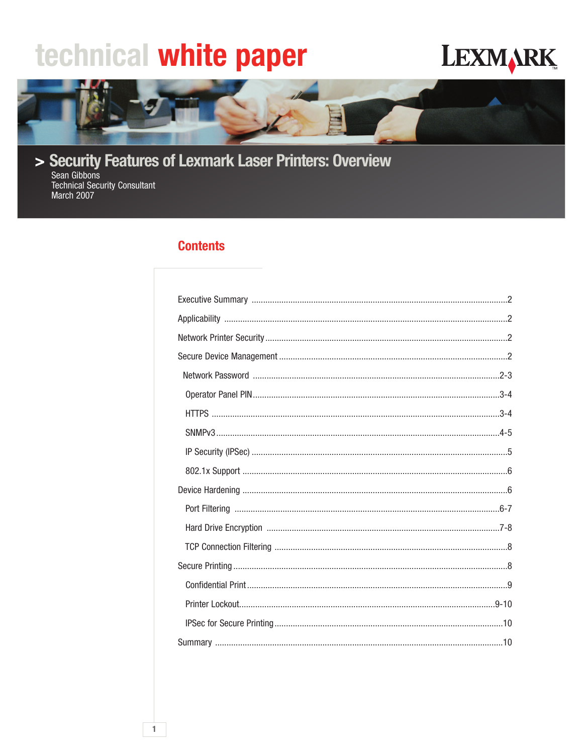# technical white paper

## **LEXMARK**



> Security Features of Lexmark Laser Printers: Overview

Sean Gibbons **Technical Security Consultant** March 2007

## **Contents**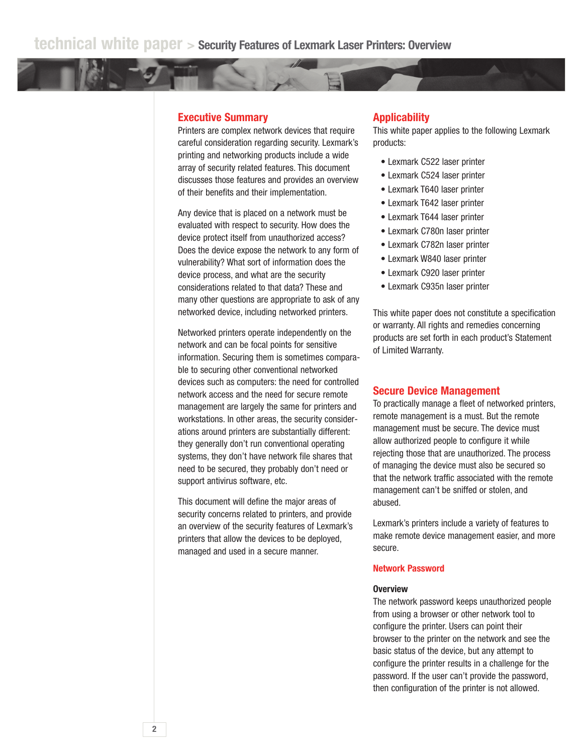## **Executive Summary**

Printers are complex network devices that require careful consideration regarding security. Lexmark's printing and networking products include a wide array of security related features. This document discusses those features and provides an overview of their benefits and their implementation.

Any device that is placed on a network must be evaluated with respect to security. How does the device protect itself from unauthorized access? Does the device expose the network to any form of vulnerability? What sort of information does the device process, and what are the security considerations related to that data? These and many other questions are appropriate to ask of any networked device, including networked printers.

Networked printers operate independently on the network and can be focal points for sensitive information. Securing them is sometimes comparable to securing other conventional networked devices such as computers: the need for controlled network access and the need for secure remote management are largely the same for printers and workstations. In other areas, the security considerations around printers are substantially different: they generally don't run conventional operating systems, they don't have network file shares that need to be secured, they probably don't need or support antivirus software, etc.

This document will define the major areas of security concerns related to printers, and provide an overview of the security features of Lexmark's printers that allow the devices to be deployed, managed and used in a secure manner.

## **Applicability**

This white paper applies to the following Lexmark products:

- Lexmark C522 laser printer
- Lexmark C524 laser printer
- Lexmark T640 laser printer
- Lexmark T642 laser printer
- Lexmark T644 laser printer
- Lexmark C780n laser printer
- Lexmark C782n laser printer
- Lexmark W840 laser printer
- Lexmark C920 laser printer
- Lexmark C935n laser printer

This white paper does not constitute a specification or warranty. All rights and remedies concerning products are set forth in each product's Statement of Limited Warranty.

## **Secure Device Management**

To practically manage a fleet of networked printers, remote management is a must. But the remote management must be secure. The device must allow authorized people to configure it while rejecting those that are unauthorized. The process of managing the device must also be secured so that the network traffic associated with the remote management can't be sniffed or stolen, and abused.

Lexmark's printers include a variety of features to make remote device management easier, and more secure.

## **Network Password**

#### **Overview**

The network password keeps unauthorized people from using a browser or other network tool to configure the printer. Users can point their browser to the printer on the network and see the basic status of the device, but any attempt to configure the printer results in a challenge for the password. If the user can't provide the password, then configuration of the printer is not allowed.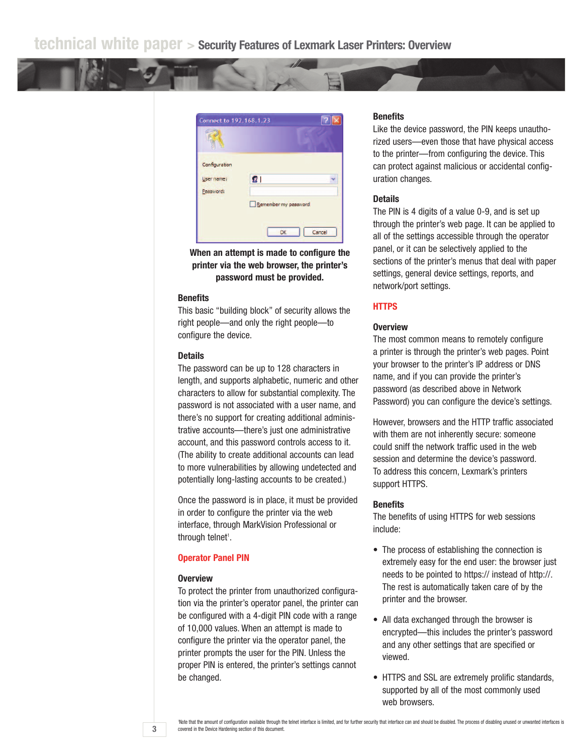

**When an attempt is made to configure the printer via the web browser, the printer's password must be provided.**

## **Benefits**

This basic "building block" of security allows the right people—and only the right people—to configure the device.

## **Details**

The password can be up to 128 characters in length, and supports alphabetic, numeric and other characters to allow for substantial complexity. The password is not associated with a user name, and there's no support for creating additional administrative accounts—there's just one administrative account, and this password controls access to it. (The ability to create additional accounts can lead to more vulnerabilities by allowing undetected and potentially long-lasting accounts to be created.)

Once the password is in place, it must be provided in order to configure the printer via the web interface, through MarkVision Professional or through telnet<sup>1</sup>.

## **Operator Panel PIN**

#### **Overview**

**3**

To protect the printer from unauthorized configuration via the printer's operator panel, the printer can be configured with a 4-digit PIN code with a range of 10,000 values. When an attempt is made to configure the printer via the operator panel, the printer prompts the user for the PIN. Unless the proper PIN is entered, the printer's settings cannot be changed.

## **Benefits**

Like the device password, the PIN keeps unauthorized users—even those that have physical access to the printer—from configuring the device. This can protect against malicious or accidental configuration changes.

#### **Details**

The PIN is 4 digits of a value 0-9, and is set up through the printer's web page. It can be applied to all of the settings accessible through the operator panel, or it can be selectively applied to the sections of the printer's menus that deal with paper settings, general device settings, reports, and network/port settings.

## **HTTPS**

## **Overview**

The most common means to remotely configure a printer is through the printer's web pages. Point your browser to the printer's IP address or DNS name, and if you can provide the printer's password (as described above in Network Password) you can configure the device's settings.

However, browsers and the HTTP traffic associated with them are not inherently secure: someone could sniff the network traffic used in the web session and determine the device's password. To address this concern, Lexmark's printers support HTTPS.

#### **Benefits**

The benefits of using HTTPS for web sessions include:

- The process of establishing the connection is extremely easy for the end user: the browser just needs to be pointed to https:// instead of http://. The rest is automatically taken care of by the printer and the browser.
- All data exchanged through the browser is encrypted—this includes the printer's password and any other settings that are specified or viewed.
- HTTPS and SSL are extremely prolific standards, supported by all of the most commonly used web browsers.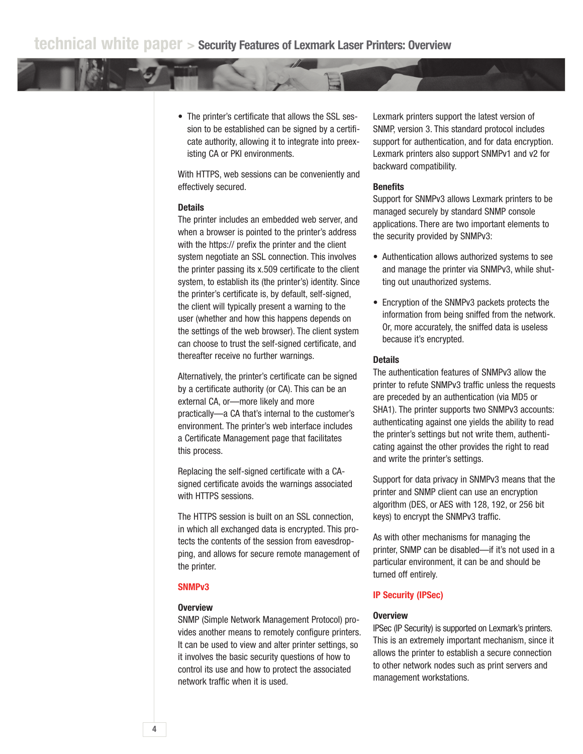• The printer's certificate that allows the SSL session to be established can be signed by a certificate authority, allowing it to integrate into preexisting CA or PKI environments.

With HTTPS, web sessions can be conveniently and effectively secured.

## **Details**

The printer includes an embedded web server, and when a browser is pointed to the printer's address with the https:// prefix the printer and the client system negotiate an SSL connection. This involves the printer passing its x.509 certificate to the client system, to establish its (the printer's) identity. Since the printer's certificate is, by default, self-signed, the client will typically present a warning to the user (whether and how this happens depends on the settings of the web browser). The client system can choose to trust the self-signed certificate, and thereafter receive no further warnings.

Alternatively, the printer's certificate can be signed by a certificate authority (or CA). This can be an external CA, or—more likely and more practically—a CA that's internal to the customer's environment. The printer's web interface includes a Certificate Management page that facilitates this process.

Replacing the self-signed certificate with a CAsigned certificate avoids the warnings associated with HTTPS sessions.

The HTTPS session is built on an SSL connection, in which all exchanged data is encrypted. This protects the contents of the session from eavesdropping, and allows for secure remote management of the printer.

## **SNMPv3**

## **Overview**

SNMP (Simple Network Management Protocol) provides another means to remotely configure printers. It can be used to view and alter printer settings, so it involves the basic security questions of how to control its use and how to protect the associated network traffic when it is used.

Lexmark printers support the latest version of SNMP, version 3. This standard protocol includes support for authentication, and for data encryption. Lexmark printers also support SNMPv1 and v2 for backward compatibility.

## **Benefits**

Support for SNMPv3 allows Lexmark printers to be managed securely by standard SNMP console applications. There are two important elements to the security provided by SNMPv3:

- Authentication allows authorized systems to see and manage the printer via SNMPv3, while shutting out unauthorized systems.
- Encryption of the SNMPv3 packets protects the information from being sniffed from the network. Or, more accurately, the sniffed data is useless because it's encrypted.

## **Details**

The authentication features of SNMPv3 allow the printer to refute SNMPv3 traffic unless the requests are preceded by an authentication (via MD5 or SHA1). The printer supports two SNMPv3 accounts: authenticating against one yields the ability to read the printer's settings but not write them, authenticating against the other provides the right to read and write the printer's settings.

Support for data privacy in SNMPv3 means that the printer and SNMP client can use an encryption algorithm (DES, or AES with 128, 192, or 256 bit keys) to encrypt the SNMPv3 traffic.

As with other mechanisms for managing the printer, SNMP can be disabled—if it's not used in a particular environment, it can be and should be turned off entirely.

#### **IP Security (IPSec)**

#### **Overview**

IPSec (IP Security) is supported on Lexmark's printers. This is an extremely important mechanism, since it allows the printer to establish a secure connection to other network nodes such as print servers and management workstations.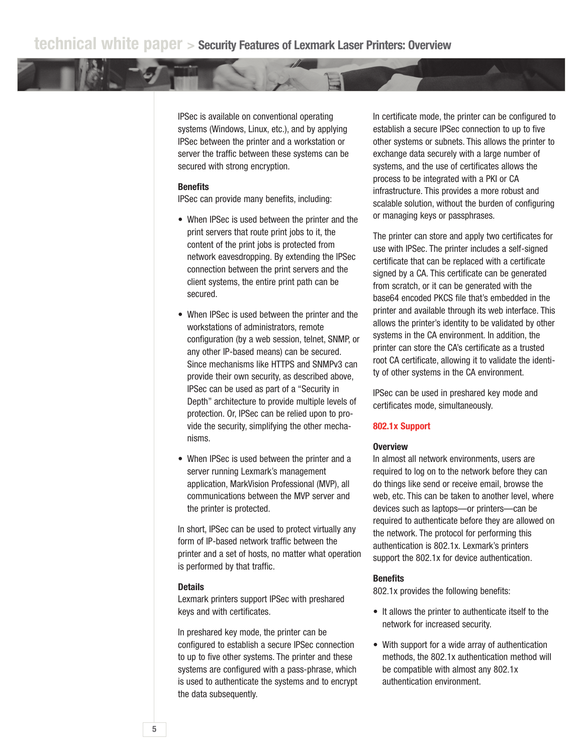IPSec is available on conventional operating systems (Windows, Linux, etc.), and by applying IPSec between the printer and a workstation or server the traffic between these systems can be secured with strong encryption.

## **Benefits**

IPSec can provide many benefits, including:

- When IPSec is used between the printer and the print servers that route print jobs to it, the content of the print jobs is protected from network eavesdropping. By extending the IPSec connection between the print servers and the client systems, the entire print path can be secured.
- When IPSec is used between the printer and the workstations of administrators, remote configuration (by a web session, telnet, SNMP, or any other IP-based means) can be secured. Since mechanisms like HTTPS and SNMPv3 can provide their own security, as described above, IPSec can be used as part of a "Security in Depth" architecture to provide multiple levels of protection. Or, IPSec can be relied upon to provide the security, simplifying the other mechanisms.
- When IPSec is used between the printer and a server running Lexmark's management application, MarkVision Professional (MVP), all communications between the MVP server and the printer is protected.

In short, IPSec can be used to protect virtually any form of IP-based network traffic between the printer and a set of hosts, no matter what operation is performed by that traffic.

#### **Details**

Lexmark printers support IPSec with preshared keys and with certificates.

In preshared key mode, the printer can be configured to establish a secure IPSec connection to up to five other systems. The printer and these systems are configured with a pass-phrase, which is used to authenticate the systems and to encrypt the data subsequently.

In certificate mode, the printer can be configured to establish a secure IPSec connection to up to five other systems or subnets. This allows the printer to exchange data securely with a large number of systems, and the use of certificates allows the process to be integrated with a PKI or CA infrastructure. This provides a more robust and scalable solution, without the burden of configuring or managing keys or passphrases.

The printer can store and apply two certificates for use with IPSec. The printer includes a self-signed certificate that can be replaced with a certificate signed by a CA. This certificate can be generated from scratch, or it can be generated with the base64 encoded PKCS file that's embedded in the printer and available through its web interface. This allows the printer's identity to be validated by other systems in the CA environment. In addition, the printer can store the CA's certificate as a trusted root CA certificate, allowing it to validate the identity of other systems in the CA environment.

IPSec can be used in preshared key mode and certificates mode, simultaneously.

### **802.1x Support**

#### **Overview**

In almost all network environments, users are required to log on to the network before they can do things like send or receive email, browse the web, etc. This can be taken to another level, where devices such as laptops—or printers—can be required to authenticate before they are allowed on the network. The protocol for performing this authentication is 802.1x. Lexmark's printers support the 802.1x for device authentication.

### **Benefits**

802.1x provides the following benefits:

- It allows the printer to authenticate itself to the network for increased security.
- With support for a wide array of authentication methods, the 802.1x authentication method will be compatible with almost any 802.1x authentication environment.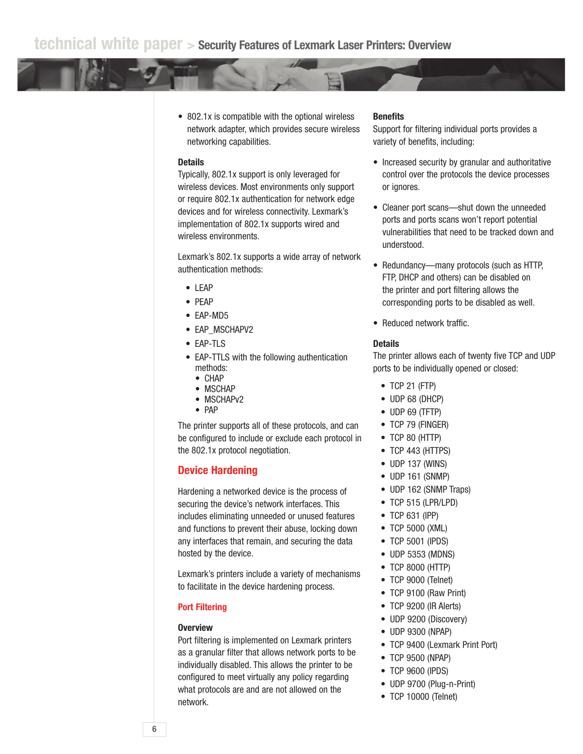• 802.1x is compatible with the optional wireless network adapter, which provides secure wireless networking capabilities.

## **Details**

Typically, 802.1x support is only leveraged for wireless devices. Most environments only support or require 802.1x authentication for network edge devices and for wireless connectivity. Lexmark's implementation of 802.1x supports wired and wireless environments.

Lexmark's 802.1x supports a wide array of network authentication methods:

- LEAP
- PEAP
- EAP-MD5
- EAP\_MSCHAPV2
- EAP-TLS
- EAP-TTLS with the following authentication methods:
	- CHAP
	- MSCHAP
	- MSCHAPv2
	- PAP

The printer supports all of these protocols, and can be configured to include or exclude each protocol in the 802.1x protocol negotiation.

## **Device Hardening**

Hardening a networked device is the process of securing the device's network interfaces. This includes eliminating unneeded or unused features and functions to prevent their abuse, locking down any interfaces that remain, and securing the data hosted by the device.

Lexmark's printers include a variety of mechanisms to facilitate in the device hardening process.

## **Port Filtering**

## **Overview**

Port filtering is implemented on Lexmark printers as a granular filter that allows network ports to be individually disabled. This allows the printer to be configured to meet virtually any policy regarding what protocols are and are not allowed on the network.

## **Benefits**

Support for filtering individual ports provides a variety of benefits, including:

- Increased security by granular and authoritative control over the protocols the device processes or ignores.
- Cleaner port scans—shut down the unneeded ports and ports scans won't report potential vulnerabilities that need to be tracked down and understood.
- Redundancy—many protocols (such as HTTP, FTP, DHCP and others) can be disabled on the printer and port filtering allows the corresponding ports to be disabled as well.
- Reduced network traffic.

#### **Details**

The printer allows each of twenty five TCP and UDP ports to be individually opened or closed:

- TCP 21 (FTP)
- UDP 68 (DHCP)
- UDP 69 (TFTP)
- TCP 79 (FINGER)
- TCP 80 (HTTP)
- TCP 443 (HTTPS)
- UDP 137 (WINS)
- UDP 161 (SNMP)
- UDP 162 (SNMP Traps)
- TCP 515 (LPR/LPD)
- TCP 631 (IPP)
- TCP 5000 (XML)
- TCP 5001 (IPDS)
- UDP 5353 (MDNS)
- TCP 8000 (HTTP)
- TCP 9000 (Telnet)
- TCP 9100 (Raw Print)
- TCP 9200 (IR Alerts)
- UDP 9200 (Discovery)
- UDP 9300 (NPAP)
- TCP 9400 (Lexmark Print Port)
- TCP 9500 (NPAP)
- TCP 9600 (IPDS)
- UDP 9700 (Plug-n-Print)
- TCP 10000 (Telnet)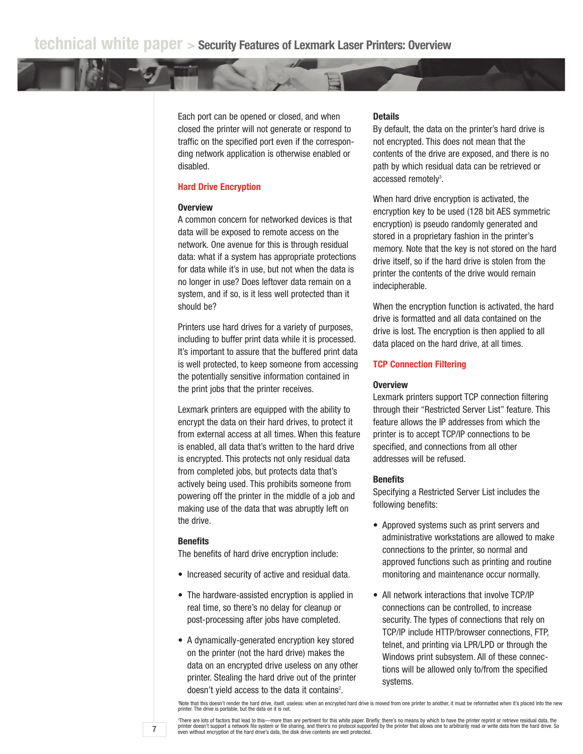Each port can be opened or closed, and when closed the printer will not generate or respond to traffic on the specified port even if the corresponding network application is otherwise enabled or disabled.

## **Hard Drive Encryption**

## **Overview**

A common concern for networked devices is that data will be exposed to remote access on the network. One avenue for this is through residual data: what if a system has appropriate protections for data while it's in use, but not when the data is no longer in use? Does leftover data remain on a system, and if so, is it less well protected than it should be?

Printers use hard drives for a variety of purposes, including to buffer print data while it is processed. It's important to assure that the buffered print data is well protected, to keep someone from accessing the potentially sensitive information contained in the print jobs that the printer receives.

Lexmark printers are equipped with the ability to encrypt the data on their hard drives, to protect it from external access at all times. When this feature is enabled, all data that's written to the hard drive is encrypted. This protects not only residual data from completed jobs, but protects data that's actively being used. This prohibits someone from powering off the printer in the middle of a job and making use of the data that was abruptly left on the drive.

## **Benefits**

**7**

The benefits of hard drive encryption include:

- Increased security of active and residual data.
- The hardware-assisted encryption is applied in real time, so there's no delay for cleanup or post-processing after jobs have completed.
- A dynamically-generated encryption key stored on the printer (not the hard drive) makes the data on an encrypted drive useless on any other printer. Stealing the hard drive out of the printer doesn't yield access to the data it contains<sup>2</sup>.

## **Details**

By default, the data on the printer's hard drive is not encrypted. This does not mean that the contents of the drive are exposed, and there is no path by which residual data can be retrieved or accessed remotely<sup>3</sup>.

When hard drive encryption is activated, the encryption key to be used (128 bit AES symmetric encryption) is pseudo randomly generated and stored in a proprietary fashion in the printer's memory. Note that the key is not stored on the hard drive itself, so if the hard drive is stolen from the printer the contents of the drive would remain indecipherable.

When the encryption function is activated, the hard drive is formatted and all data contained on the drive is lost. The encryption is then applied to all data placed on the hard drive, at all times.

## **TCP Connection Filtering**

#### **Overview**

Lexmark printers support TCP connection filtering through their "Restricted Server List" feature. This feature allows the IP addresses from which the printer is to accept TCP/IP connections to be specified, and connections from all other addresses will be refused.

#### **Benefits**

Specifying a Restricted Server List includes the following benefits:

- Approved systems such as print servers and administrative workstations are allowed to make connections to the printer, so normal and approved functions such as printing and routine monitoring and maintenance occur normally.
- All network interactions that involve TCP/IP connections can be controlled, to increase security. The types of connections that rely on TCP/IP include HTTP/browser connections, FTP, telnet, and printing via LPR/LPD or through the Windows print subsystem. All of these connections will be allowed only to/from the specified systems.

2 Note that this doesn't render the hard drive, itself, useless: when an encrypted hard drive is moved from one printer to another, it must be reformatted when it's placed into the new printer. The drive is portable, but the data on it is not.

\*There are lots of factors that lead to this—more than are pertinent for this white paper. Briefly: there's no means by which to have the printer reprint or retrieve residual data, the<br>printer doesn't support a network fil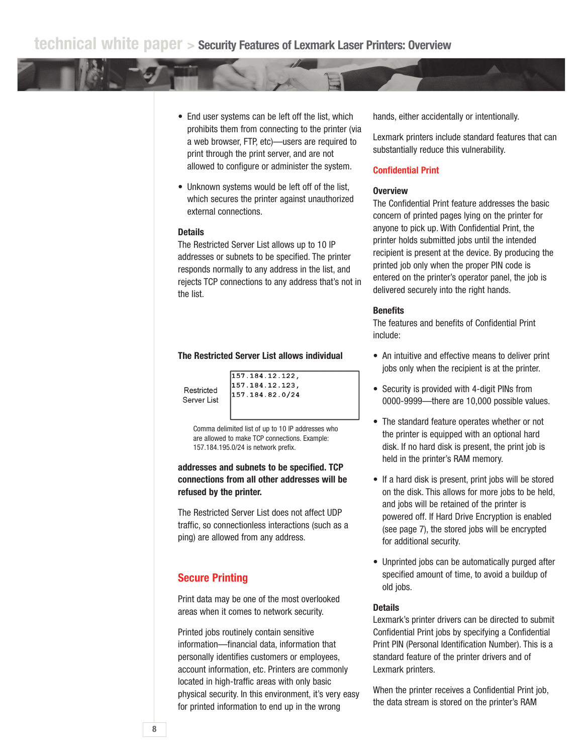- End user systems can be left off the list, which prohibits them from connecting to the printer (via a web browser, FTP, etc)—users are required to print through the print server, and are not allowed to configure or administer the system.
- Unknown systems would be left off of the list, which secures the printer against unauthorized external connections.

## **Details**

The Restricted Server List allows up to 10 IP addresses or subnets to be specified. The printer responds normally to any address in the list, and rejects TCP connections to any address that's not in the list.

## **The Restricted Server List allows individual**

Restricted Server List  $\overline{157.184.12.122.}$ 157.184.12.123, 157.184.82.0/24

Comma delimited list of up to 10 IP addresses who are allowed to make TCP connections. Example: 157.184.195.0/24 is network prefix.

**addresses and subnets to be specified. TCP connections from all other addresses will be refused by the printer.**

The Restricted Server List does not affect UDP traffic, so connectionless interactions (such as a ping) are allowed from any address.

## **Secure Printing**

Print data may be one of the most overlooked areas when it comes to network security.

Printed jobs routinely contain sensitive information—financial data, information that personally identifies customers or employees, account information, etc. Printers are commonly located in high-traffic areas with only basic physical security. In this environment, it's very easy for printed information to end up in the wrong

hands, either accidentally or intentionally.

Lexmark printers include standard features that can substantially reduce this vulnerability.

## **Confidential Print**

## **Overview**

The Confidential Print feature addresses the basic concern of printed pages lying on the printer for anyone to pick up. With Confidential Print, the printer holds submitted jobs until the intended recipient is present at the device. By producing the printed job only when the proper PIN code is entered on the printer's operator panel, the job is delivered securely into the right hands.

## **Benefits**

The features and benefits of Confidential Print include:

- An intuitive and effective means to deliver print jobs only when the recipient is at the printer.
- Security is provided with 4-digit PINs from 0000-9999—there are 10,000 possible values.
- The standard feature operates whether or not the printer is equipped with an optional hard disk. If no hard disk is present, the print job is held in the printer's RAM memory.
- If a hard disk is present, print jobs will be stored on the disk. This allows for more jobs to be held, and jobs will be retained of the printer is powered off. If Hard Drive Encryption is enabled (see page 7), the stored jobs will be encrypted for additional security.
- Unprinted jobs can be automatically purged after specified amount of time, to avoid a buildup of old jobs.

## **Details**

Lexmark's printer drivers can be directed to submit Confidential Print jobs by specifying a Confidential Print PIN (Personal Identification Number). This is a standard feature of the printer drivers and of Lexmark printers.

When the printer receives a Confidential Print job, the data stream is stored on the printer's RAM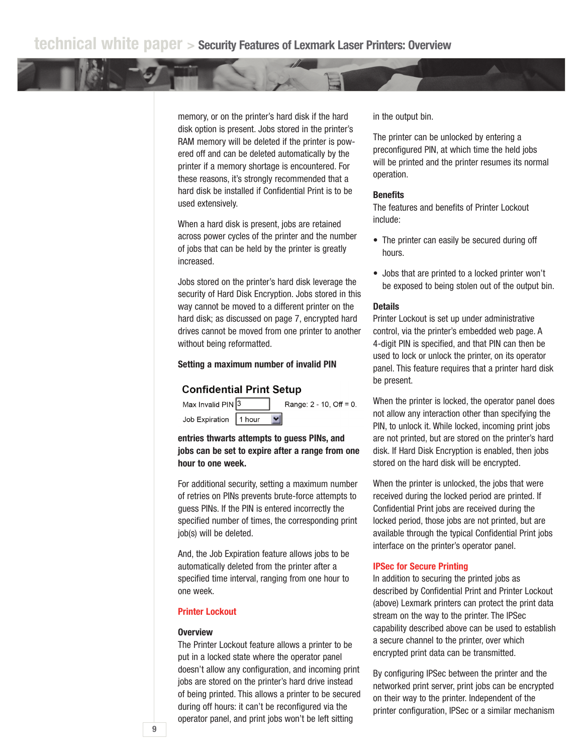memory, or on the printer's hard disk if the hard disk option is present. Jobs stored in the printer's RAM memory will be deleted if the printer is powered off and can be deleted automatically by the printer if a memory shortage is encountered. For these reasons, it's strongly recommended that a hard disk be installed if Confidential Print is to be used extensively.

When a hard disk is present, jobs are retained across power cycles of the printer and the number of jobs that can be held by the printer is greatly increased.

Jobs stored on the printer's hard disk leverage the security of Hard Disk Encryption. Jobs stored in this way cannot be moved to a different printer on the hard disk; as discussed on page 7, encrypted hard drives cannot be moved from one printer to another without being reformatted.

## **Setting a maximum number of invalid PIN**

## **Confidential Print Setup**



**entries thwarts attempts to guess PINs, and jobs can be set to expire after a range from one hour to one week.**

For additional security, setting a maximum number of retries on PINs prevents brute-force attempts to guess PINs. If the PIN is entered incorrectly the specified number of times, the corresponding print job(s) will be deleted.

And, the Job Expiration feature allows jobs to be automatically deleted from the printer after a specified time interval, ranging from one hour to one week.

## **Printer Lockout**

#### **Overview**

The Printer Lockout feature allows a printer to be put in a locked state where the operator panel doesn't allow any configuration, and incoming print jobs are stored on the printer's hard drive instead of being printed. This allows a printer to be secured during off hours: it can't be reconfigured via the operator panel, and print jobs won't be left sitting

in the output bin.

The printer can be unlocked by entering a preconfigured PIN, at which time the held jobs will be printed and the printer resumes its normal operation.

## **Benefits**

The features and benefits of Printer Lockout include:

- The printer can easily be secured during off hours.
- Jobs that are printed to a locked printer won't be exposed to being stolen out of the output bin.

## **Details**

Printer Lockout is set up under administrative control, via the printer's embedded web page. A 4-digit PIN is specified, and that PIN can then be used to lock or unlock the printer, on its operator panel. This feature requires that a printer hard disk be present.

When the printer is locked, the operator panel does not allow any interaction other than specifying the PIN, to unlock it. While locked, incoming print jobs are not printed, but are stored on the printer's hard disk. If Hard Disk Encryption is enabled, then jobs stored on the hard disk will be encrypted.

When the printer is unlocked, the jobs that were received during the locked period are printed. If Confidential Print jobs are received during the locked period, those jobs are not printed, but are available through the typical Confidential Print jobs interface on the printer's operator panel.

## **IPSec for Secure Printing**

In addition to securing the printed jobs as described by Confidential Print and Printer Lockout (above) Lexmark printers can protect the print data stream on the way to the printer. The IPSec capability described above can be used to establish a secure channel to the printer, over which encrypted print data can be transmitted.

By configuring IPSec between the printer and the networked print server, print jobs can be encrypted on their way to the printer. Independent of the printer configuration, IPSec or a similar mechanism